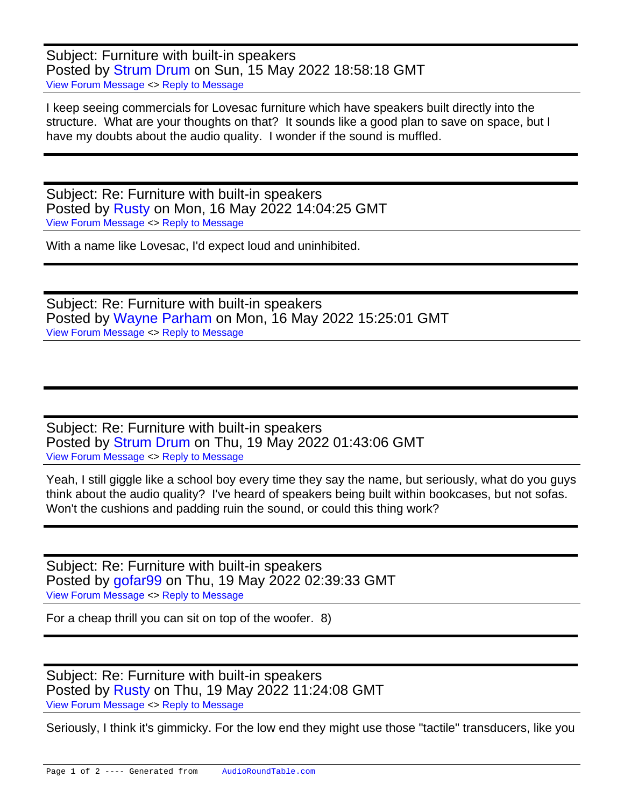Subject: Furniture with built-in speakers Posted by [Strum Drum](https://audioroundtable.com/forum/index.php?t=usrinfo&id=8116) on Sun, 15 May 2022 18:58:18 GMT [View Forum Message](https://audioroundtable.com/forum/index.php?t=rview&th=23428&goto=95625#msg_95625) <> [Reply to Message](https://audioroundtable.com/forum/index.php?t=post&reply_to=95625)

I keep seeing commercials for Lovesac furniture which have speakers built directly into the structure. What are your thoughts on that? It sounds like a good plan to save on space, but I have my doubts about the audio quality. I wonder if the sound is muffled.

Subject: Re: Furniture with built-in speakers Posted by [Rusty](https://audioroundtable.com/forum/index.php?t=usrinfo&id=8363) on Mon, 16 May 2022 14:04:25 GMT [View Forum Message](https://audioroundtable.com/forum/index.php?t=rview&th=23428&goto=95628#msg_95628) <> [Reply to Message](https://audioroundtable.com/forum/index.php?t=post&reply_to=95628)

With a name like Lovesac, I'd expect loud and uninhibited.

Subject: Re: Furniture with built-in speakers Posted by [Wayne Parham](https://audioroundtable.com/forum/index.php?t=usrinfo&id=5) on Mon, 16 May 2022 15:25:01 GMT [View Forum Message](https://audioroundtable.com/forum/index.php?t=rview&th=23428&goto=95629#msg_95629) <> [Reply to Message](https://audioroundtable.com/forum/index.php?t=post&reply_to=95629)

Subject: Re: Furniture with built-in speakers Posted by [Strum Drum](https://audioroundtable.com/forum/index.php?t=usrinfo&id=8116) on Thu, 19 May 2022 01:43:06 GMT [View Forum Message](https://audioroundtable.com/forum/index.php?t=rview&th=23428&goto=95634#msg_95634) <> [Reply to Message](https://audioroundtable.com/forum/index.php?t=post&reply_to=95634)

Yeah, I still giggle like a school boy every time they say the name, but seriously, what do you guys think about the audio quality? I've heard of speakers being built within bookcases, but not sofas. Won't the cushions and padding ruin the sound, or could this thing work?

Subject: Re: Furniture with built-in speakers Posted by [gofar99](https://audioroundtable.com/forum/index.php?t=usrinfo&id=3806) on Thu, 19 May 2022 02:39:33 GMT [View Forum Message](https://audioroundtable.com/forum/index.php?t=rview&th=23428&goto=95635#msg_95635) <> [Reply to Message](https://audioroundtable.com/forum/index.php?t=post&reply_to=95635)

For a cheap thrill you can sit on top of the woofer. 8)

Subject: Re: Furniture with built-in speakers Posted by [Rusty](https://audioroundtable.com/forum/index.php?t=usrinfo&id=8363) on Thu, 19 May 2022 11:24:08 GMT [View Forum Message](https://audioroundtable.com/forum/index.php?t=rview&th=23428&goto=95636#msg_95636) <> [Reply to Message](https://audioroundtable.com/forum/index.php?t=post&reply_to=95636)

Seriously, I think it's gimmicky. For the low end they might use those "tactile" transducers, like you